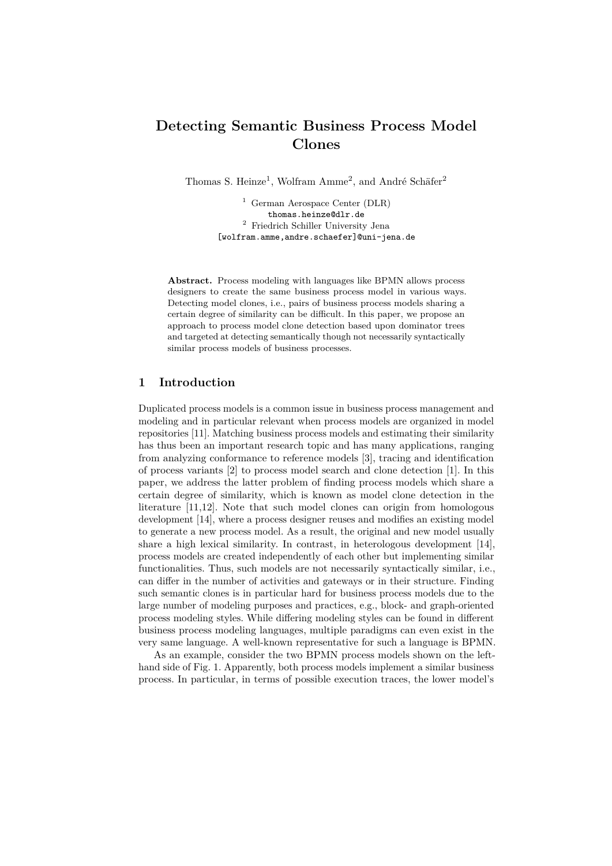# **Detecting Semantic Business Process Model Clones**

Thomas S. Heinze<sup>1</sup>, Wolfram Amme<sup>2</sup>, and André Schäfer<sup>2</sup>

<sup>1</sup> German Aerospace Center (DLR) thomas.heinze@dlr.de <sup>2</sup> Friedrich Schiller University Jena [wolfram.amme,andre.schaefer]@uni-jena.de

**Abstract.** Process modeling with languages like BPMN allows process designers to create the same business process model in various ways. Detecting model clones, i.e., pairs of business process models sharing a certain degree of similarity can be difficult. In this paper, we propose an approach to process model clone detection based upon dominator trees and targeted at detecting semantically though not necessarily syntactically similar process models of business processes.

### **1 Introduction**

Duplicated process models is a common issue in business process management and modeling and in particular relevant when process models are organized in model repositories [\[11\]](#page-3-0). Matching business process models and estimating their similarity has thus been an important research topic and has many applications, ranging from analyzing conformance to reference models [\[3\]](#page-3-1), tracing and identification of process variants [\[2\]](#page-3-2) to process model search and clone detection [\[1\]](#page-3-3). In this paper, we address the latter problem of finding process models which share a certain degree of similarity, which is known as model clone detection in the literature [\[11,](#page-3-0)[12\]](#page-3-4). Note that such model clones can origin from homologous development [\[14\]](#page-3-5), where a process designer reuses and modifies an existing model to generate a new process model. As a result, the original and new model usually share a high lexical similarity. In contrast, in heterologous development [\[14\]](#page-3-5), process models are created independently of each other but implementing similar functionalities. Thus, such models are not necessarily syntactically similar, i.e., can differ in the number of activities and gateways or in their structure. Finding such semantic clones is in particular hard for business process models due to the large number of modeling purposes and practices, e.g., block- and graph-oriented process modeling styles. While differing modeling styles can be found in different business process modeling languages, multiple paradigms can even exist in the very same language. A well-known representative for such a language is BPMN.

As an example, consider the two BPMN process models shown on the lefthand side of Fig. [1.](#page-1-0) Apparently, both process models implement a similar business process. In particular, in terms of possible execution traces, the lower model's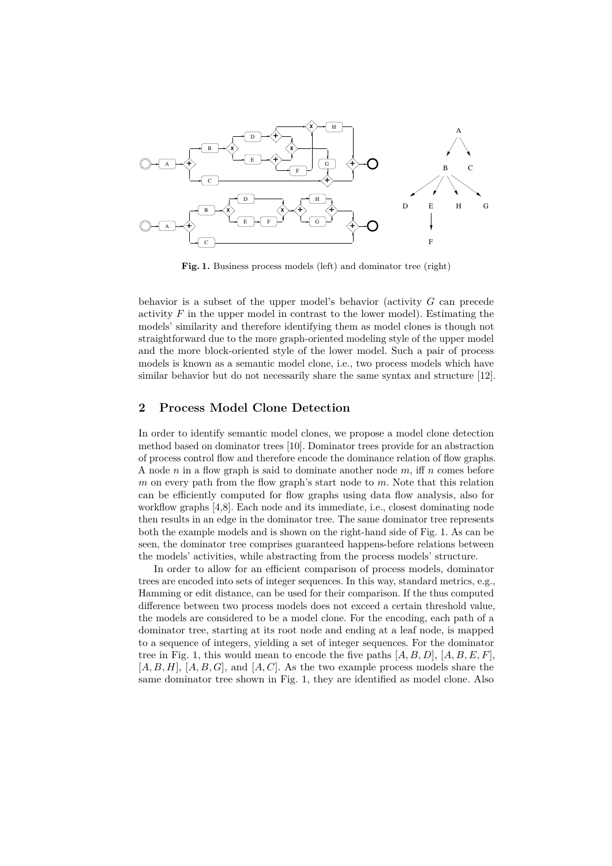<span id="page-1-0"></span>

Fig. 1. Business process models (left) and dominator tree (right)

behavior is a subset of the upper model's behavior (activity *G* can precede activity  $F$  in the upper model in contrast to the lower model). Estimating the models' similarity and therefore identifying them as model clones is though not straightforward due to the more graph-oriented modeling style of the upper model and the more block-oriented style of the lower model. Such a pair of process models is known as a semantic model clone, i.e., two process models which have similar behavior but do not necessarily share the same syntax and structure [\[12\]](#page-3-4).

#### **2 Process Model Clone Detection**

In order to identify semantic model clones, we propose a model clone detection method based on dominator trees [\[10\]](#page-3-6). Dominator trees provide for an abstraction of process control flow and therefore encode the dominance relation of flow graphs. A node *n* in a flow graph is said to dominate another node *m*, iff *n* comes before *m* on every path from the flow graph's start node to *m*. Note that this relation can be efficiently computed for flow graphs using data flow analysis, also for workflow graphs [\[4,](#page-3-7)[8\]](#page-3-8). Each node and its immediate, i.e., closest dominating node then results in an edge in the dominator tree. The same dominator tree represents both the example models and is shown on the right-hand side of Fig. [1.](#page-1-0) As can be seen, the dominator tree comprises guaranteed happens-before relations between the models' activities, while abstracting from the process models' structure.

In order to allow for an efficient comparison of process models, dominator trees are encoded into sets of integer sequences. In this way, standard metrics, e.g., Hamming or edit distance, can be used for their comparison. If the thus computed difference between two process models does not exceed a certain threshold value, the models are considered to be a model clone. For the encoding, each path of a dominator tree, starting at its root node and ending at a leaf node, is mapped to a sequence of integers, yielding a set of integer sequences. For the dominator tree in Fig. [1,](#page-1-0) this would mean to encode the five paths [*A, B, D*], [*A, B, E, F*], [*A, B, H*], [*A, B, G*], and [*A, C*]. As the two example process models share the same dominator tree shown in Fig. [1,](#page-1-0) they are identified as model clone. Also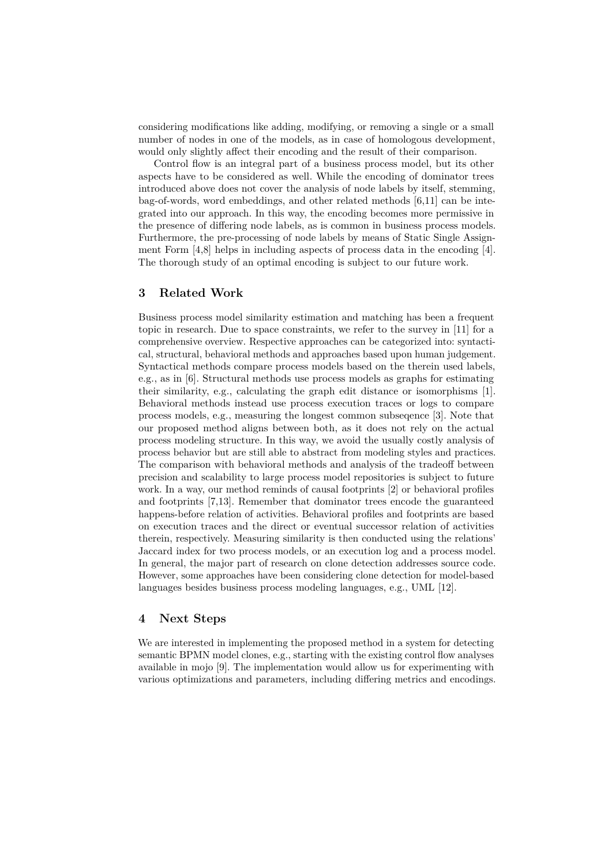considering modifications like adding, modifying, or removing a single or a small number of nodes in one of the models, as in case of homologous development, would only slightly affect their encoding and the result of their comparison.

Control flow is an integral part of a business process model, but its other aspects have to be considered as well. While the encoding of dominator trees introduced above does not cover the analysis of node labels by itself, stemming, bag-of-words, word embeddings, and other related methods [\[6](#page-3-9)[,11\]](#page-3-0) can be integrated into our approach. In this way, the encoding becomes more permissive in the presence of differing node labels, as is common in business process models. Furthermore, the pre-processing of node labels by means of Static Single Assignment Form  $[4,8]$  $[4,8]$  helps in including aspects of process data in the encoding  $[4]$ . The thorough study of an optimal encoding is subject to our future work.

### **3 Related Work**

Business process model similarity estimation and matching has been a frequent topic in research. Due to space constraints, we refer to the survey in [\[11\]](#page-3-0) for a comprehensive overview. Respective approaches can be categorized into: syntactical, structural, behavioral methods and approaches based upon human judgement. Syntactical methods compare process models based on the therein used labels, e.g., as in [\[6\]](#page-3-9). Structural methods use process models as graphs for estimating their similarity, e.g., calculating the graph edit distance or isomorphisms [\[1\]](#page-3-3). Behavioral methods instead use process execution traces or logs to compare process models, e.g., measuring the longest common subseqence [\[3\]](#page-3-1). Note that our proposed method aligns between both, as it does not rely on the actual process modeling structure. In this way, we avoid the usually costly analysis of process behavior but are still able to abstract from modeling styles and practices. The comparison with behavioral methods and analysis of the tradeoff between precision and scalability to large process model repositories is subject to future work. In a way, our method reminds of causal footprints [\[2\]](#page-3-2) or behavioral profiles and footprints [\[7,](#page-3-10)[13\]](#page-3-11). Remember that dominator trees encode the guaranteed happens-before relation of activities. Behavioral profiles and footprints are based on execution traces and the direct or eventual successor relation of activities therein, respectively. Measuring similarity is then conducted using the relations' Jaccard index for two process models, or an execution log and a process model. In general, the major part of research on clone detection addresses source code. However, some approaches have been considering clone detection for model-based languages besides business process modeling languages, e.g., UML [\[12\]](#page-3-4).

## **4 Next Steps**

We are interested in implementing the proposed method in a system for detecting semantic BPMN model clones, e.g., starting with the existing control flow analyses available in mojo [\[9\]](#page-3-12). The implementation would allow us for experimenting with various optimizations and parameters, including differing metrics and encodings.